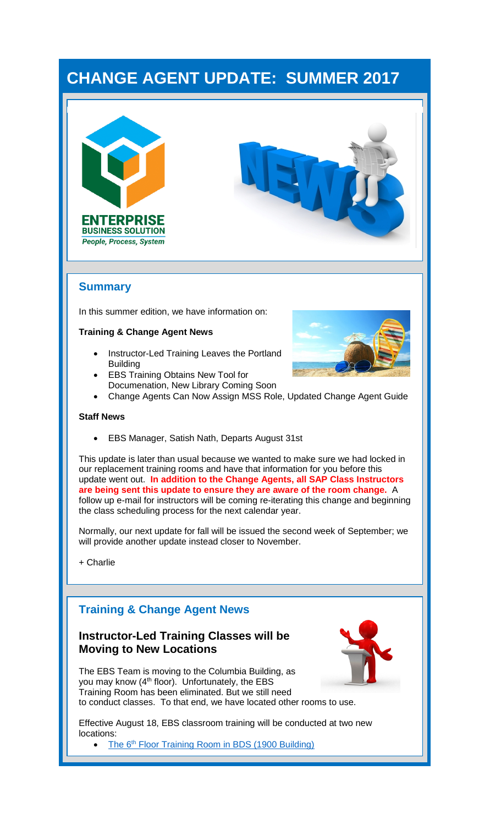# **CHANGE AGENT UPDATE: SUMMER 2017**





## **Summary**

In this summer edition, we have information on:

#### **Training & Change Agent News**

- Instructor-Led Training Leaves the Portland Building
- **EBS Training Obtains New Tool for** Documenation, New Library Coming Soon



• Change Agents Can Now Assign MSS Role, Updated Change Agent Guide

#### **Staff News**

• EBS Manager, Satish Nath, Departs August 31st

This update is later than usual because we wanted to make sure we had locked in our replacement training rooms and have that information for you before this update went out. **In addition to the Change Agents, all SAP Class Instructors are being sent this update to ensure they are aware of the room change.** A follow up e-mail for instructors will be coming re-iterating this change and beginning the class scheduling process for the next calendar year.

Normally, our next update for fall will be issued the second week of September; we will provide another update instead closer to November.

+ Charlie

## **Training & Change Agent News**

#### **Instructor-Led Training Classes will be Moving to New Locations**

The EBS Team is moving to the Columbia Building, as you may know  $(4<sup>th</sup>$  floor). Unfortunately, the EBS Training Room has been eliminated. But we still need to conduct classes. To that end, we have located other rooms to use.



Effective August 18, EBS classroom training will be conducted at two new locations:

• The 6<sup>th</sup> [Floor Training Room in BDS \(1900 Building\)](https://goo.gl/maps/aB7zzkXhyUk)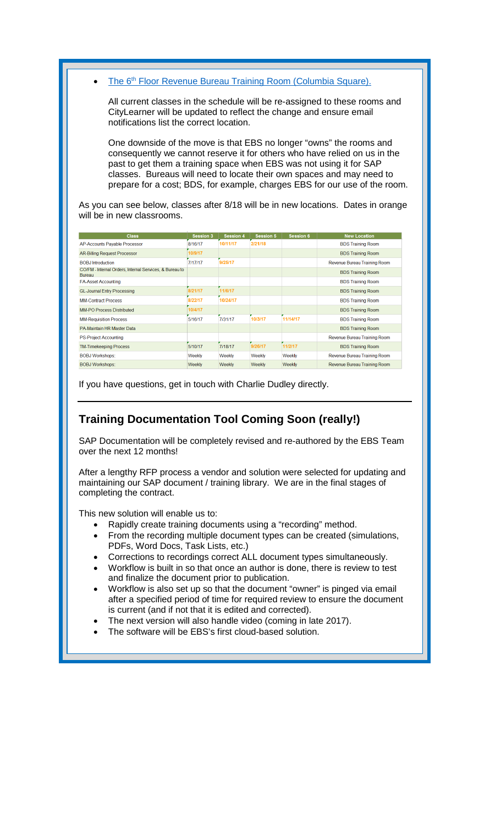The 6<sup>th</sup> [Floor Revenue Bureau Training Room \(Columbia Square\).](https://goo.gl/maps/RC7D9mihEGR2)

All current classes in the schedule will be re-assigned to these rooms and CityLearner will be updated to reflect the change and ensure email notifications list the correct location.

One downside of the move is that EBS no longer "owns" the rooms and consequently we cannot reserve it for others who have relied on us in the past to get them a training space when EBS was not using it for SAP classes. Bureaus will need to locate their own spaces and may need to prepare for a cost; BDS, for example, charges EBS for our use of the room.

As you can see below, classes after 8/18 will be in new locations. Dates in orange will be in new classrooms.

| <b>Class</b>                                                             | <b>Session 3</b> | Session 4 | <b>Session 5</b> | Session 6 | <b>New Location</b>          |
|--------------------------------------------------------------------------|------------------|-----------|------------------|-----------|------------------------------|
| AP-Accounts Payable Processor                                            | 8/16/17          | 10/11/17  | 2/21/18          |           | <b>BDS Training Room</b>     |
| <b>AR-Billing Request Processor</b>                                      | 10/9/17          |           |                  |           | <b>BDS Training Room</b>     |
| <b>BOBJ</b> Introduction                                                 | 7/17/17          | 9/25/17   |                  |           | Revenue Bureau Training Room |
| CO/FM - Internal Orders, Internal Services, & Bureau to<br><b>Bureau</b> |                  |           |                  |           | <b>BDS Training Room</b>     |
| <b>FA-Asset Accounting</b>                                               |                  |           |                  |           | <b>BDS Training Room</b>     |
| <b>GL-Journal Entry Processing</b>                                       | 8/21/17          | 11/6/17   |                  |           | <b>BDS Training Room</b>     |
| <b>MM-Contract Process</b>                                               | 8/22/17          | 10/24/17  |                  |           | <b>BDS Training Room</b>     |
| <b>MM-PO Process Distributed</b>                                         | 10/4/17          |           |                  |           | <b>BDS Training Room</b>     |
| <b>MM-Requisition Process</b>                                            | 5/16/17          | 7/31/17   | 10/3/17          | 11/14/17  | <b>BDS Training Room</b>     |
| PA-Maintain HR Master Data                                               |                  |           |                  |           | <b>BDS Training Room</b>     |
| <b>PS-Project Accounting</b>                                             |                  |           |                  |           | Revenue Bureau Training Room |
| <b>TM-Timekeeping Process</b>                                            | 5/10/17          | 7/18/17   | 9/26/17          | 11/2/17   | <b>BDS Training Room</b>     |
| <b>BOBJ Workshops:</b>                                                   | Weekly           | Weekly    | Weekly           | Weekly    | Revenue Bureau Training Room |
| <b>BOBJ Workshops:</b>                                                   | Weekly           | Weekly    | Weekly           | Weekly    | Revenue Bureau Training Room |

If you have questions, get in touch with Charlie Dudley directly.

## **Training Documentation Tool Coming Soon (really!)**

SAP Documentation will be completely revised and re-authored by the EBS Team over the next 12 months!

After a lengthy RFP process a vendor and solution were selected for updating and maintaining our SAP document / training library. We are in the final stages of completing the contract.

This new solution will enable us to:

- Rapidly create training documents using a "recording" method.
- From the recording multiple document types can be created (simulations, PDFs, Word Docs, Task Lists, etc.)
- Corrections to recordings correct ALL document types simultaneously.
- Workflow is built in so that once an author is done, there is review to test and finalize the document prior to publication.
- Workflow is also set up so that the document "owner" is pinged via email after a specified period of time for required review to ensure the document is current (and if not that it is edited and corrected).
- The next version will also handle video (coming in late 2017).
- The software will be EBS's first cloud-based solution.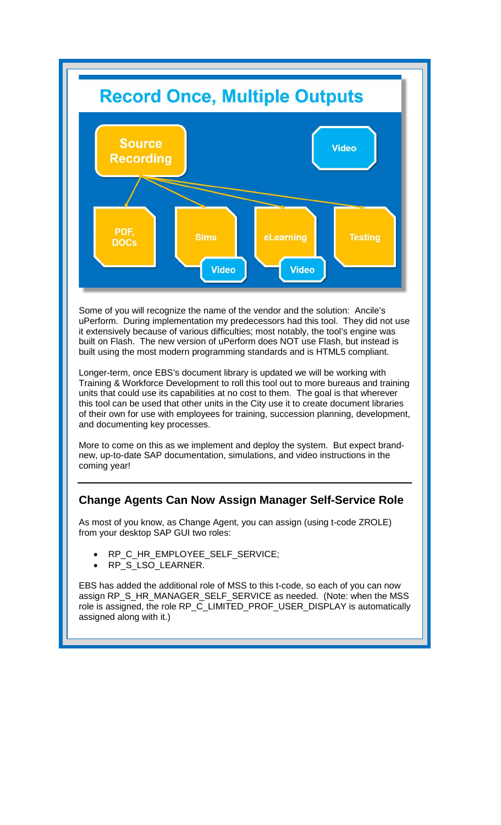

Some of you will recognize the name of the vendor and the solution: Ancile's uPerform. During implementation my predecessors had this tool. They did not use it extensively because of various difficulties; most notably, the tool's engine was built on Flash. The new version of uPerform does NOT use Flash, but instead is built using the most modern programming standards and is HTML5 compliant.

Longer-term, once EBS's document library is updated we will be working with Training & Workforce Development to roll this tool out to more bureaus and training units that could use its capabilities at no cost to them. The goal is that wherever this tool can be used that other units in the City use it to create document libraries of their own for use with employees for training, succession planning, development, and documenting key processes.

More to come on this as we implement and deploy the system. But expect brandnew, up-to-date SAP documentation, simulations, and video instructions in the coming year!

## **Change Agents Can Now Assign Manager Self-Service Role**

As most of you know, as Change Agent, you can assign (using t-code ZROLE) from your desktop SAP GUI two roles:

- RP\_C\_HR\_EMPLOYEE\_SELF\_SERVICE;
- RP\_S\_LSO\_LEARNER.

EBS has added the additional role of MSS to this t-code, so each of you can now assign RP\_S\_HR\_MANAGER\_SELF\_SERVICE as needed. (Note: when the MSS role is assigned, the role RP\_C\_LIMITED\_PROF\_USER\_DISPLAY is automatically assigned along with it.)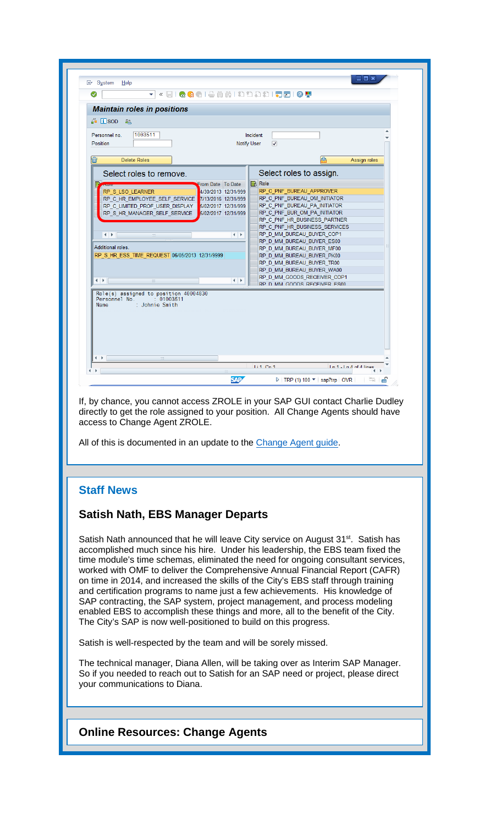| <b>Maintain roles in positions</b><br>1003511<br>Personnel no.<br>Incident<br>$\overline{\mathbf{v}}$<br>Notify User<br>飝<br><b>Delete Roles</b><br>Assign roles<br>Select roles to assign.<br>Select roles to remove.<br><b>B</b> Role<br>From Date To Date<br>Ð<br><b>ANVIE</b><br>RP C PNF BUREAU APPROVER<br>4/30/2013 12/31/999<br>RP S LSO LEARNER<br>RP C PNF BUREAU OM INITIATOR<br>RP C HR EMPLOYEE SELF SERVICE<br>7/13/2016 12/31/999<br>RP C PNF BUREAU PA INITIATOR<br>RP C LIMITED PROF USER DISPLAY<br>5/02/2017 12/31/999<br>RP_C_PNF_BUR_OM_PA_INITIATOR<br>RP S HR MANAGER SELF SERVICE<br>5/02/2017 12/31/999<br>RP C PNF HR BUSINESS PARTNER<br>RP C PNF HR BUSINESS SERVICES<br>RP_D_MM_BUREAU_BUYER_COP1<br>$\blacksquare$<br>$\leftarrow$<br>$\frac{2\pi\lambda}{2\pi\lambda}$<br>RP D MM BUREAU BUYER ES00<br>Additional roles.<br>RP D MM BUREAU BUYER MF00<br>RP_S_HR_ESS_TIME_REQUEST 06/05/2013 12/31/9999<br>RP D MM BUREAU BUYER PK00<br>RP D MM BUREAU BUYER TR00<br>RP D MM BUREAU BUYER WA00<br>RP D MM GOODS RECEIVER COP1<br>4 P<br>$\leftarrow$<br>$^{+11}_{-111}$<br>RP D MM GOODS RECEIVER ES00<br>Role(s) assigned to position 40004830<br>Personnel No. : 01003511<br>: Johnie Smith<br>Name<br>$\leftarrow$<br>$\frac{d+2}{d+2}$ | ⊘<br>۳                                        | « BIQQ @ I & M M I & D D D I FI D I O T |  |
|---------------------------------------------------------------------------------------------------------------------------------------------------------------------------------------------------------------------------------------------------------------------------------------------------------------------------------------------------------------------------------------------------------------------------------------------------------------------------------------------------------------------------------------------------------------------------------------------------------------------------------------------------------------------------------------------------------------------------------------------------------------------------------------------------------------------------------------------------------------------------------------------------------------------------------------------------------------------------------------------------------------------------------------------------------------------------------------------------------------------------------------------------------------------------------------------------------------------------------------------------------------------------|-----------------------------------------------|-----------------------------------------|--|
|                                                                                                                                                                                                                                                                                                                                                                                                                                                                                                                                                                                                                                                                                                                                                                                                                                                                                                                                                                                                                                                                                                                                                                                                                                                                           |                                               |                                         |  |
|                                                                                                                                                                                                                                                                                                                                                                                                                                                                                                                                                                                                                                                                                                                                                                                                                                                                                                                                                                                                                                                                                                                                                                                                                                                                           |                                               |                                         |  |
|                                                                                                                                                                                                                                                                                                                                                                                                                                                                                                                                                                                                                                                                                                                                                                                                                                                                                                                                                                                                                                                                                                                                                                                                                                                                           | $\frac{1}{2}$ $\frac{1}{2}$ SOD $\frac{2}{2}$ |                                         |  |
|                                                                                                                                                                                                                                                                                                                                                                                                                                                                                                                                                                                                                                                                                                                                                                                                                                                                                                                                                                                                                                                                                                                                                                                                                                                                           |                                               |                                         |  |
|                                                                                                                                                                                                                                                                                                                                                                                                                                                                                                                                                                                                                                                                                                                                                                                                                                                                                                                                                                                                                                                                                                                                                                                                                                                                           | Position                                      |                                         |  |
|                                                                                                                                                                                                                                                                                                                                                                                                                                                                                                                                                                                                                                                                                                                                                                                                                                                                                                                                                                                                                                                                                                                                                                                                                                                                           |                                               |                                         |  |
|                                                                                                                                                                                                                                                                                                                                                                                                                                                                                                                                                                                                                                                                                                                                                                                                                                                                                                                                                                                                                                                                                                                                                                                                                                                                           | 匬                                             |                                         |  |
|                                                                                                                                                                                                                                                                                                                                                                                                                                                                                                                                                                                                                                                                                                                                                                                                                                                                                                                                                                                                                                                                                                                                                                                                                                                                           |                                               |                                         |  |
|                                                                                                                                                                                                                                                                                                                                                                                                                                                                                                                                                                                                                                                                                                                                                                                                                                                                                                                                                                                                                                                                                                                                                                                                                                                                           |                                               |                                         |  |
|                                                                                                                                                                                                                                                                                                                                                                                                                                                                                                                                                                                                                                                                                                                                                                                                                                                                                                                                                                                                                                                                                                                                                                                                                                                                           |                                               |                                         |  |
|                                                                                                                                                                                                                                                                                                                                                                                                                                                                                                                                                                                                                                                                                                                                                                                                                                                                                                                                                                                                                                                                                                                                                                                                                                                                           |                                               |                                         |  |
|                                                                                                                                                                                                                                                                                                                                                                                                                                                                                                                                                                                                                                                                                                                                                                                                                                                                                                                                                                                                                                                                                                                                                                                                                                                                           |                                               |                                         |  |
|                                                                                                                                                                                                                                                                                                                                                                                                                                                                                                                                                                                                                                                                                                                                                                                                                                                                                                                                                                                                                                                                                                                                                                                                                                                                           |                                               |                                         |  |
|                                                                                                                                                                                                                                                                                                                                                                                                                                                                                                                                                                                                                                                                                                                                                                                                                                                                                                                                                                                                                                                                                                                                                                                                                                                                           |                                               |                                         |  |
|                                                                                                                                                                                                                                                                                                                                                                                                                                                                                                                                                                                                                                                                                                                                                                                                                                                                                                                                                                                                                                                                                                                                                                                                                                                                           |                                               |                                         |  |
|                                                                                                                                                                                                                                                                                                                                                                                                                                                                                                                                                                                                                                                                                                                                                                                                                                                                                                                                                                                                                                                                                                                                                                                                                                                                           |                                               |                                         |  |
|                                                                                                                                                                                                                                                                                                                                                                                                                                                                                                                                                                                                                                                                                                                                                                                                                                                                                                                                                                                                                                                                                                                                                                                                                                                                           |                                               |                                         |  |
|                                                                                                                                                                                                                                                                                                                                                                                                                                                                                                                                                                                                                                                                                                                                                                                                                                                                                                                                                                                                                                                                                                                                                                                                                                                                           |                                               |                                         |  |
|                                                                                                                                                                                                                                                                                                                                                                                                                                                                                                                                                                                                                                                                                                                                                                                                                                                                                                                                                                                                                                                                                                                                                                                                                                                                           |                                               |                                         |  |
|                                                                                                                                                                                                                                                                                                                                                                                                                                                                                                                                                                                                                                                                                                                                                                                                                                                                                                                                                                                                                                                                                                                                                                                                                                                                           |                                               |                                         |  |
|                                                                                                                                                                                                                                                                                                                                                                                                                                                                                                                                                                                                                                                                                                                                                                                                                                                                                                                                                                                                                                                                                                                                                                                                                                                                           |                                               |                                         |  |
|                                                                                                                                                                                                                                                                                                                                                                                                                                                                                                                                                                                                                                                                                                                                                                                                                                                                                                                                                                                                                                                                                                                                                                                                                                                                           |                                               |                                         |  |
|                                                                                                                                                                                                                                                                                                                                                                                                                                                                                                                                                                                                                                                                                                                                                                                                                                                                                                                                                                                                                                                                                                                                                                                                                                                                           |                                               |                                         |  |
|                                                                                                                                                                                                                                                                                                                                                                                                                                                                                                                                                                                                                                                                                                                                                                                                                                                                                                                                                                                                                                                                                                                                                                                                                                                                           |                                               |                                         |  |

If, by chance, you cannot access ZROLE in your SAP GUI contact Charlie Dudley directly to get the role assigned to your position. All Change Agents should have access to Change Agent ZROLE.

All of this is documented in an update to the [Change Agent guide.](https://www.portlandoregon.gov/cao/article/545331)

## **Staff News**

### **Satish Nath, EBS Manager Departs**

Satish Nath announced that he will leave City service on August 31<sup>st</sup>. Satish has accomplished much since his hire. Under his leadership, the EBS team fixed the time module's time schemas, eliminated the need for ongoing consultant services, worked with OMF to deliver the Comprehensive Annual Financial Report (CAFR) on time in 2014, and increased the skills of the City's EBS staff through training and certification programs to name just a few achievements. His knowledge of SAP contracting, the SAP system, project management, and process modeling enabled EBS to accomplish these things and more, all to the benefit of the City. The City's SAP is now well-positioned to build on this progress.

Satish is well-respected by the team and will be sorely missed.

The technical manager, Diana Allen, will be taking over as Interim SAP Manager. So if you needed to reach out to Satish for an SAP need or project, please direct your communications to Diana.

**Online Resources: Change Agents**